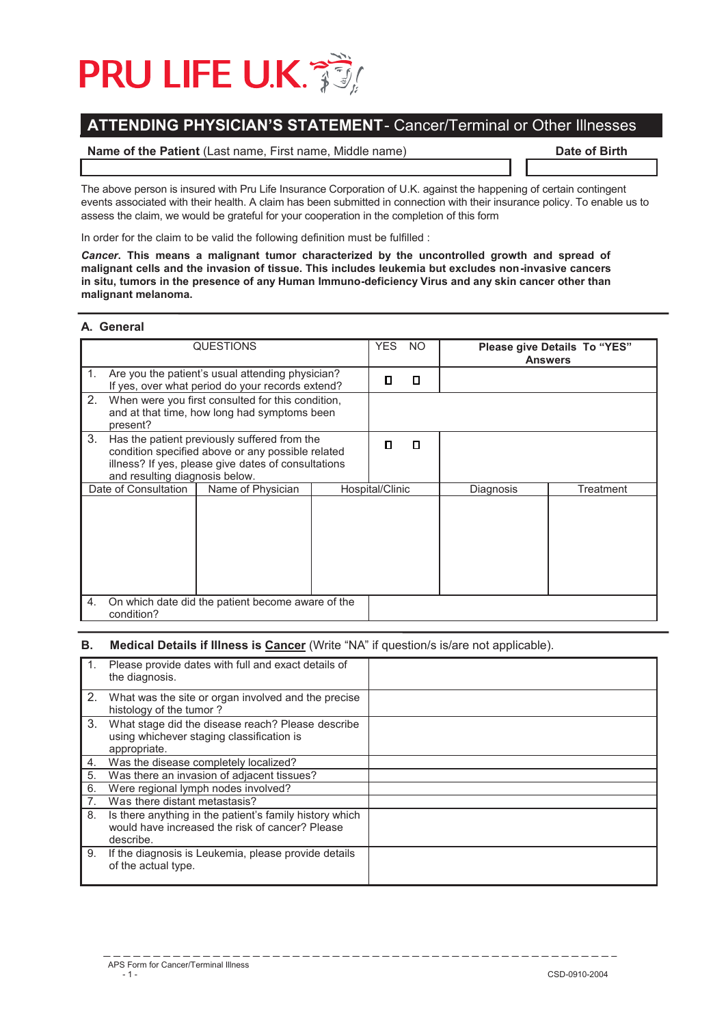# **PRU LIFE U.K. 35**

## **ATTENDING PHYSICIAN'S STATEMENT** - Cancer/Terminal or Other Illnesses

### **Name of the Patient** (Last name, First name, Middle name) **Date of Birth**

The above person is insured with Pru Life Insurance Corporation of U.K. against the happening of certain contingent events associated with their health. A claim has been submitted in connection with their insurance policy. To enable us to assess the claim, we would be grateful for your cooperation in the completion of this form

In order for the claim to be valid the following definition must be fulfilled :

*Cancer***. This means a malignant tumor characterized by the uncontrolled growth and spread of malignant cells and the invasion of tissue. This includes leukemia but excludes non-invasive cancers in situ, tumors in the presence of any Human Immuno-deficiency Virus and any skin cancer other than malignant melanoma.** 

### **A. General**

| <b>QUESTIONS</b>                                                                                                                                                                                 |                                                                                                      |                 |   | <b>YES</b> | NO.       |  | Please give Details To "YES"<br><b>Answers</b> |
|--------------------------------------------------------------------------------------------------------------------------------------------------------------------------------------------------|------------------------------------------------------------------------------------------------------|-----------------|---|------------|-----------|--|------------------------------------------------|
| $\mathbf{1}$ .                                                                                                                                                                                   | Are you the patient's usual attending physician?<br>If yes, over what period do your records extend? |                 |   | П          | П         |  |                                                |
| 2.<br>When were you first consulted for this condition,<br>and at that time, how long had symptoms been<br>present?                                                                              |                                                                                                      |                 |   |            |           |  |                                                |
| 3.<br>Has the patient previously suffered from the<br>condition specified above or any possible related<br>illness? If yes, please give dates of consultations<br>and resulting diagnosis below. |                                                                                                      | П               | Л |            |           |  |                                                |
| Date of Consultation<br>Name of Physician                                                                                                                                                        |                                                                                                      | Hospital/Clinic |   | Diagnosis  | Treatment |  |                                                |
|                                                                                                                                                                                                  |                                                                                                      |                 |   |            |           |  |                                                |
| 4.<br>On which date did the patient become aware of the<br>condition?                                                                                                                            |                                                                                                      |                 |   |            |           |  |                                                |

#### **B.** Medical Details if Illness is Cancer (Write "NA" if question/s is/are not applicable).

| 1 <sup>1</sup> | Please provide dates with full and exact details of<br>the diagnosis.                                                   |  |
|----------------|-------------------------------------------------------------------------------------------------------------------------|--|
| 2.             | What was the site or organ involved and the precise<br>histology of the tumor?                                          |  |
| $3_{-}$        | What stage did the disease reach? Please describe<br>using whichever staging classification is<br>appropriate.          |  |
| 4.             | Was the disease completely localized?                                                                                   |  |
| 5.             | Was there an invasion of adjacent tissues?                                                                              |  |
| 6.             | Were regional lymph nodes involved?                                                                                     |  |
| 7 <sub>1</sub> | Was there distant metastasis?                                                                                           |  |
| 8.             | Is there anything in the patient's family history which<br>would have increased the risk of cancer? Please<br>describe. |  |
| 9.             | If the diagnosis is Leukemia, please provide details<br>of the actual type.                                             |  |